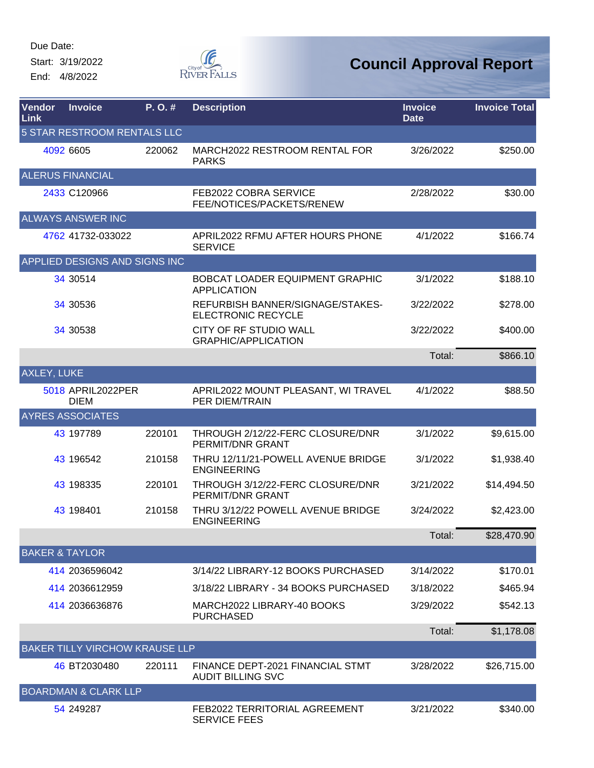Start: 3/19/2022 End: 4/8/2022



| Vendor<br><b>Link</b>     | <b>Invoice</b>                        | P.O.#  | <b>Description</b>                                            | <b>Invoice</b><br><b>Date</b> | <b>Invoice Total</b> |
|---------------------------|---------------------------------------|--------|---------------------------------------------------------------|-------------------------------|----------------------|
|                           | <b>5 STAR RESTROOM RENTALS LLC</b>    |        |                                                               |                               |                      |
|                           | 4092 6605                             | 220062 | MARCH2022 RESTROOM RENTAL FOR<br><b>PARKS</b>                 | 3/26/2022                     | \$250.00             |
|                           | <b>ALERUS FINANCIAL</b>               |        |                                                               |                               |                      |
|                           | 2433 C120966                          |        | FEB2022 COBRA SERVICE<br>FEE/NOTICES/PACKETS/RENEW            | 2/28/2022                     | \$30.00              |
|                           | <b>ALWAYS ANSWER INC</b>              |        |                                                               |                               |                      |
|                           | 4762 41732-033022                     |        | APRIL2022 RFMU AFTER HOURS PHONE<br><b>SERVICE</b>            | 4/1/2022                      | \$166.74             |
|                           | APPLIED DESIGNS AND SIGNS INC         |        |                                                               |                               |                      |
|                           | 34 30 514                             |        | BOBCAT LOADER EQUIPMENT GRAPHIC<br><b>APPLICATION</b>         | 3/1/2022                      | \$188.10             |
|                           | 34 30 536                             |        | REFURBISH BANNER/SIGNAGE/STAKES-<br><b>ELECTRONIC RECYCLE</b> | 3/22/2022                     | \$278.00             |
|                           | 34 30 538                             |        | CITY OF RF STUDIO WALL<br><b>GRAPHIC/APPLICATION</b>          | 3/22/2022                     | \$400.00             |
|                           |                                       |        |                                                               | Total:                        | \$866.10             |
| <b>AXLEY, LUKE</b>        |                                       |        |                                                               |                               |                      |
|                           | 5018 APRIL2022PER<br><b>DIEM</b>      |        | APRIL2022 MOUNT PLEASANT, WI TRAVEL<br>PER DIEM/TRAIN         | 4/1/2022                      | \$88.50              |
|                           | <b>AYRES ASSOCIATES</b>               |        |                                                               |                               |                      |
|                           | 43 197789                             | 220101 | THROUGH 2/12/22-FERC CLOSURE/DNR<br>PERMIT/DNR GRANT          | 3/1/2022                      | \$9,615.00           |
|                           | 43 196542                             | 210158 | THRU 12/11/21-POWELL AVENUE BRIDGE<br><b>ENGINEERING</b>      | 3/1/2022                      | \$1,938.40           |
|                           | 43 198335                             | 220101 | THROUGH 3/12/22-FERC CLOSURE/DNR<br>PERMIT/DNR GRANT          | 3/21/2022                     | \$14,494.50          |
|                           | 43 198401                             | 210158 | THRU 3/12/22 POWELL AVENUE BRIDGE<br><b>ENGINEERING</b>       | 3/24/2022                     | \$2,423.00           |
|                           |                                       |        |                                                               | Total:                        | \$28,470.90          |
| <b>BAKER &amp; TAYLOR</b> |                                       |        |                                                               |                               |                      |
|                           | 414 2036596042                        |        | 3/14/22 LIBRARY-12 BOOKS PURCHASED                            | 3/14/2022                     | \$170.01             |
|                           | 414 2036612959                        |        | 3/18/22 LIBRARY - 34 BOOKS PURCHASED                          | 3/18/2022                     | \$465.94             |
|                           | 414 2036636876                        |        | MARCH2022 LIBRARY-40 BOOKS<br><b>PURCHASED</b>                | 3/29/2022                     | \$542.13             |
|                           |                                       |        |                                                               | Total:                        | \$1,178.08           |
|                           | <b>BAKER TILLY VIRCHOW KRAUSE LLP</b> |        |                                                               |                               |                      |
|                           | 46 BT2030480                          | 220111 | FINANCE DEPT-2021 FINANCIAL STMT<br><b>AUDIT BILLING SVC</b>  | 3/28/2022                     | \$26,715.00          |
|                           | <b>BOARDMAN &amp; CLARK LLP</b>       |        |                                                               |                               |                      |
|                           | 54 249 287                            |        | FEB2022 TERRITORIAL AGREEMENT<br><b>SERVICE FEES</b>          | 3/21/2022                     | \$340.00             |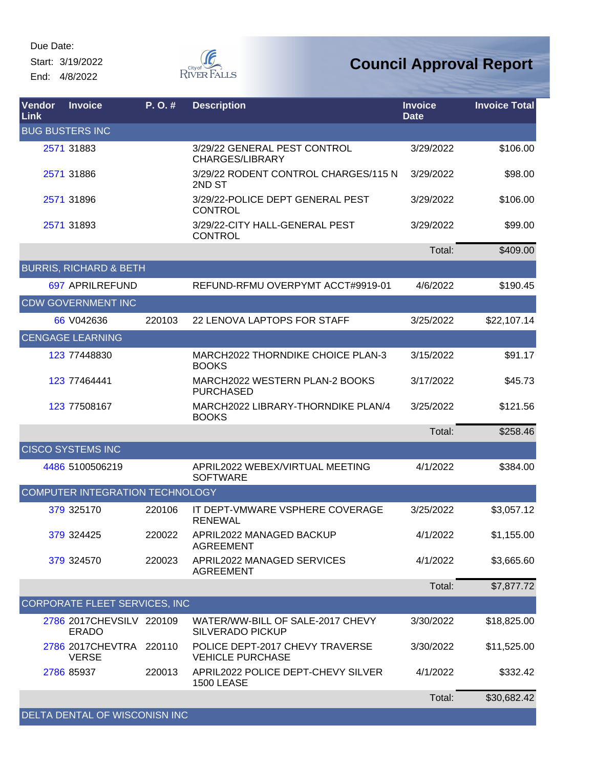Start: 3/19/2022 End: 4/8/2022



| <b>Vendor</b><br>Link | <b>Invoice</b>                           | P.O.#  | <b>Description</b>                                          | <b>Invoice</b><br><b>Date</b> | <b>Invoice Total</b> |
|-----------------------|------------------------------------------|--------|-------------------------------------------------------------|-------------------------------|----------------------|
|                       | <b>BUG BUSTERS INC</b>                   |        |                                                             |                               |                      |
|                       | 2571 31883                               |        | 3/29/22 GENERAL PEST CONTROL<br><b>CHARGES/LIBRARY</b>      | 3/29/2022                     | \$106.00             |
|                       | 2571 31886                               |        | 3/29/22 RODENT CONTROL CHARGES/115 N<br>2ND ST              | 3/29/2022                     | \$98.00              |
|                       | 2571 31896                               |        | 3/29/22-POLICE DEPT GENERAL PEST<br><b>CONTROL</b>          | 3/29/2022                     | \$106.00             |
|                       | 2571 31893                               |        | 3/29/22-CITY HALL-GENERAL PEST<br><b>CONTROL</b>            | 3/29/2022                     | \$99.00              |
|                       |                                          |        |                                                             | Total:                        | \$409.00             |
|                       | <b>BURRIS, RICHARD &amp; BETH</b>        |        |                                                             |                               |                      |
|                       | 697 APRILREFUND                          |        | REFUND-RFMU OVERPYMT ACCT#9919-01                           | 4/6/2022                      | \$190.45             |
|                       | <b>CDW GOVERNMENT INC</b>                |        |                                                             |                               |                      |
|                       | 66 V042636                               | 220103 | 22 LENOVA LAPTOPS FOR STAFF                                 | 3/25/2022                     | \$22,107.14          |
|                       | <b>CENGAGE LEARNING</b>                  |        |                                                             |                               |                      |
|                       | 123 77448830                             |        | MARCH2022 THORNDIKE CHOICE PLAN-3<br><b>BOOKS</b>           | 3/15/2022                     | \$91.17              |
|                       | 123 77464441                             |        | MARCH2022 WESTERN PLAN-2 BOOKS<br><b>PURCHASED</b>          | 3/17/2022                     | \$45.73              |
|                       | 123 77508167                             |        | MARCH2022 LIBRARY-THORNDIKE PLAN/4<br><b>BOOKS</b>          | 3/25/2022                     | \$121.56             |
|                       |                                          |        |                                                             | Total:                        | \$258.46             |
|                       | <b>CISCO SYSTEMS INC</b>                 |        |                                                             |                               |                      |
|                       | 4486 5100506219                          |        | APRIL2022 WEBEX/VIRTUAL MEETING<br><b>SOFTWARE</b>          | 4/1/2022                      | \$384.00             |
|                       | COMPUTER INTEGRATION TECHNOLOGY          |        |                                                             |                               |                      |
|                       | 379 325170                               | 220106 | IT DEPT-VMWARE VSPHERE COVERAGE<br><b>RENEWAL</b>           | 3/25/2022                     | \$3,057.12           |
|                       | 379 324425                               | 220022 | APRIL2022 MANAGED BACKUP<br><b>AGREEMENT</b>                | 4/1/2022                      | \$1,155.00           |
|                       | 379 324570                               | 220023 | APRIL2022 MANAGED SERVICES<br><b>AGREEMENT</b>              | 4/1/2022                      | \$3,665.60           |
|                       |                                          |        |                                                             | Total:                        | \$7,877.72           |
|                       | CORPORATE FLEET SERVICES, INC            |        |                                                             |                               |                      |
|                       | 2786 2017CHEVSILV 220109<br><b>ERADO</b> |        | WATER/WW-BILL OF SALE-2017 CHEVY<br><b>SILVERADO PICKUP</b> | 3/30/2022                     | \$18,825.00          |
|                       | 2786 2017 CHEVTRA 220110<br><b>VERSE</b> |        | POLICE DEPT-2017 CHEVY TRAVERSE<br><b>VEHICLE PURCHASE</b>  | 3/30/2022                     | \$11,525.00          |
|                       | 2786 85937                               | 220013 | APRIL2022 POLICE DEPT-CHEVY SILVER<br><b>1500 LEASE</b>     | 4/1/2022                      | \$332.42             |
|                       |                                          |        |                                                             | Total:                        | \$30,682.42          |
|                       | DELTA DENTAL OF WISCONISN INC            |        |                                                             |                               |                      |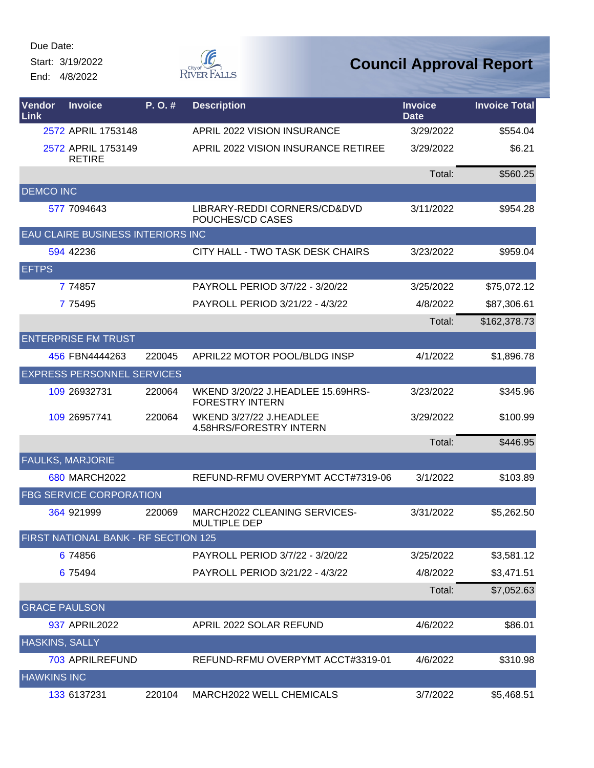Start: 3/19/2022

End: 4/8/2022



| Vendor<br>Link        | <b>Invoice</b>                       | P.O.#  | <b>Description</b>                                          | <b>Invoice</b><br><b>Date</b> | <b>Invoice Total</b> |
|-----------------------|--------------------------------------|--------|-------------------------------------------------------------|-------------------------------|----------------------|
|                       | 2572 APRIL 1753148                   |        | APRIL 2022 VISION INSURANCE                                 | 3/29/2022                     | \$554.04             |
|                       | 2572 APRIL 1753149<br><b>RETIRE</b>  |        | APRIL 2022 VISION INSURANCE RETIREE                         | 3/29/2022                     | \$6.21               |
|                       |                                      |        |                                                             | Total:                        | \$560.25             |
| <b>DEMCO INC</b>      |                                      |        |                                                             |                               |                      |
|                       | 577 7094643                          |        | LIBRARY-REDDI CORNERS/CD&DVD<br>POUCHES/CD CASES            | 3/11/2022                     | \$954.28             |
|                       | EAU CLAIRE BUSINESS INTERIORS INC    |        |                                                             |                               |                      |
|                       | 594 42236                            |        | CITY HALL - TWO TASK DESK CHAIRS                            | 3/23/2022                     | \$959.04             |
| <b>EFTPS</b>          |                                      |        |                                                             |                               |                      |
|                       | 7 74857                              |        | PAYROLL PERIOD 3/7/22 - 3/20/22                             | 3/25/2022                     | \$75,072.12          |
|                       | 7 7 5 4 9 5                          |        | PAYROLL PERIOD 3/21/22 - 4/3/22                             | 4/8/2022                      | \$87,306.61          |
|                       |                                      |        |                                                             | Total:                        | \$162,378.73         |
|                       | <b>ENTERPRISE FM TRUST</b>           |        |                                                             |                               |                      |
|                       | 456 FBN4444263                       | 220045 | APRIL22 MOTOR POOL/BLDG INSP                                | 4/1/2022                      | \$1,896.78           |
|                       | <b>EXPRESS PERSONNEL SERVICES</b>    |        |                                                             |                               |                      |
|                       | 109 26932731                         | 220064 | WKEND 3/20/22 J.HEADLEE 15.69HRS-<br><b>FORESTRY INTERN</b> | 3/23/2022                     | \$345.96             |
|                       | 109 26957741                         | 220064 | WKEND 3/27/22 J.HEADLEE<br>4.58HRS/FORESTRY INTERN          | 3/29/2022                     | \$100.99             |
|                       |                                      |        |                                                             | Total:                        | \$446.95             |
|                       | <b>FAULKS, MARJORIE</b>              |        |                                                             |                               |                      |
|                       | 680 MARCH2022                        |        | REFUND-RFMU OVERPYMT ACCT#7319-06                           | 3/1/2022                      | \$103.89             |
|                       | <b>FBG SERVICE CORPORATION</b>       |        |                                                             |                               |                      |
|                       | 364 921999                           | 220069 | MARCH2022 CLEANING SERVICES-<br><b>MULTIPLE DEP</b>         | 3/31/2022                     | \$5,262.50           |
|                       | FIRST NATIONAL BANK - RF SECTION 125 |        |                                                             |                               |                      |
|                       | 6 74856                              |        | PAYROLL PERIOD 3/7/22 - 3/20/22                             | 3/25/2022                     | \$3,581.12           |
|                       | 6 75494                              |        | PAYROLL PERIOD 3/21/22 - 4/3/22                             | 4/8/2022                      | \$3,471.51           |
|                       |                                      |        |                                                             | Total:                        | \$7,052.63           |
| <b>GRACE PAULSON</b>  |                                      |        |                                                             |                               |                      |
|                       | 937 APRIL2022                        |        | APRIL 2022 SOLAR REFUND                                     | 4/6/2022                      | \$86.01              |
| <b>HASKINS, SALLY</b> |                                      |        |                                                             |                               |                      |
|                       | 703 APRILREFUND                      |        | REFUND-RFMU OVERPYMT ACCT#3319-01                           | 4/6/2022                      | \$310.98             |
| <b>HAWKINS INC</b>    |                                      |        |                                                             |                               |                      |
|                       | 133 6137231                          | 220104 | MARCH2022 WELL CHEMICALS                                    | 3/7/2022                      | \$5,468.51           |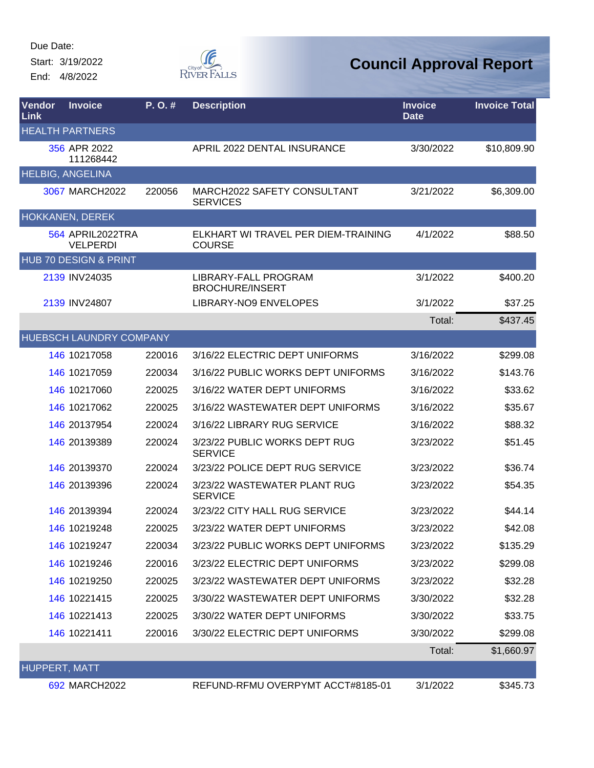Start: 3/19/2022 End: 4/8/2022



| <b>Vendor</b><br>Link | <b>Invoice</b>                      | $P. O.$ # | <b>Description</b>                                   | <b>Invoice</b><br><b>Date</b> | <b>Invoice Total</b> |
|-----------------------|-------------------------------------|-----------|------------------------------------------------------|-------------------------------|----------------------|
|                       | <b>HEALTH PARTNERS</b>              |           |                                                      |                               |                      |
|                       | 356 APR 2022<br>111268442           |           | APRIL 2022 DENTAL INSURANCE                          | 3/30/2022                     | \$10,809.90          |
|                       | <b>HELBIG, ANGELINA</b>             |           |                                                      |                               |                      |
|                       | 3067 MARCH2022                      | 220056    | MARCH2022 SAFETY CONSULTANT<br><b>SERVICES</b>       | 3/21/2022                     | \$6,309.00           |
|                       | HOKKANEN, DEREK                     |           |                                                      |                               |                      |
|                       | 564 APRIL2022TRA<br><b>VELPERDI</b> |           | ELKHART WI TRAVEL PER DIEM-TRAINING<br><b>COURSE</b> | 4/1/2022                      | \$88.50              |
|                       | HUB 70 DESIGN & PRINT               |           |                                                      |                               |                      |
|                       | 2139 INV24035                       |           | LIBRARY-FALL PROGRAM<br><b>BROCHURE/INSERT</b>       | 3/1/2022                      | \$400.20             |
|                       | 2139 INV24807                       |           | LIBRARY-NO9 ENVELOPES                                | 3/1/2022                      | \$37.25              |
|                       |                                     |           |                                                      | Total:                        | \$437.45             |
|                       | <b>HUEBSCH LAUNDRY COMPANY</b>      |           |                                                      |                               |                      |
|                       | 146 10217058                        | 220016    | 3/16/22 ELECTRIC DEPT UNIFORMS                       | 3/16/2022                     | \$299.08             |
|                       | 146 10217059                        | 220034    | 3/16/22 PUBLIC WORKS DEPT UNIFORMS                   | 3/16/2022                     | \$143.76             |
|                       | 146 10217060                        | 220025    | 3/16/22 WATER DEPT UNIFORMS                          | 3/16/2022                     | \$33.62              |
|                       | 146 10217062                        | 220025    | 3/16/22 WASTEWATER DEPT UNIFORMS                     | 3/16/2022                     | \$35.67              |
|                       | 146 20137954                        | 220024    | 3/16/22 LIBRARY RUG SERVICE                          | 3/16/2022                     | \$88.32              |
|                       | 146 20139389                        | 220024    | 3/23/22 PUBLIC WORKS DEPT RUG<br><b>SERVICE</b>      | 3/23/2022                     | \$51.45              |
|                       | 146 20139370                        | 220024    | 3/23/22 POLICE DEPT RUG SERVICE                      | 3/23/2022                     | \$36.74              |
|                       | 146 20139396                        | 220024    | 3/23/22 WASTEWATER PLANT RUG<br><b>SERVICE</b>       | 3/23/2022                     | \$54.35              |
|                       | 146 20139394                        | 220024    | 3/23/22 CITY HALL RUG SERVICE                        | 3/23/2022                     | \$44.14              |
|                       | 146 10219248                        | 220025    | 3/23/22 WATER DEPT UNIFORMS                          | 3/23/2022                     | \$42.08              |
|                       | 146 10219247                        | 220034    | 3/23/22 PUBLIC WORKS DEPT UNIFORMS                   | 3/23/2022                     | \$135.29             |
|                       | 146 10219246                        | 220016    | 3/23/22 ELECTRIC DEPT UNIFORMS                       | 3/23/2022                     | \$299.08             |
|                       | 146 10219250                        | 220025    | 3/23/22 WASTEWATER DEPT UNIFORMS                     | 3/23/2022                     | \$32.28              |
|                       | 146 10221415                        | 220025    | 3/30/22 WASTEWATER DEPT UNIFORMS                     | 3/30/2022                     | \$32.28              |
|                       | 146 10221413                        | 220025    | 3/30/22 WATER DEPT UNIFORMS                          | 3/30/2022                     | \$33.75              |
|                       | 146 10221411                        | 220016    | 3/30/22 ELECTRIC DEPT UNIFORMS                       | 3/30/2022                     | \$299.08             |
|                       |                                     |           |                                                      | Total:                        | \$1,660.97           |
| <b>HUPPERT, MATT</b>  |                                     |           |                                                      |                               |                      |
|                       | 692 MARCH2022                       |           | REFUND-RFMU OVERPYMT ACCT#8185-01                    | 3/1/2022                      | \$345.73             |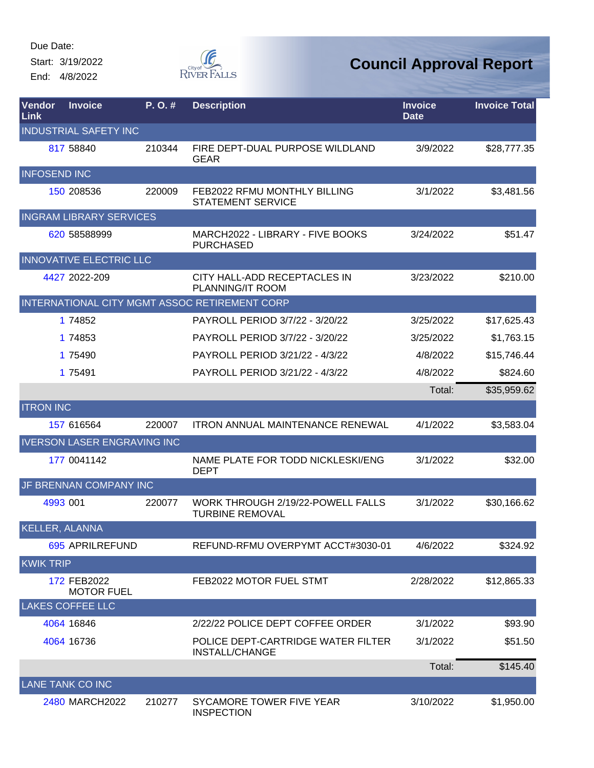Start: 3/19/2022 End: 4/8/2022



| Vendor<br>Link      | <b>Invoice</b>                     | P. O. # | <b>Description</b>                                          | <b>Invoice</b><br><b>Date</b> | <b>Invoice Total</b> |
|---------------------|------------------------------------|---------|-------------------------------------------------------------|-------------------------------|----------------------|
|                     | <b>INDUSTRIAL SAFETY INC</b>       |         |                                                             |                               |                      |
|                     | 817 58840                          | 210344  | FIRE DEPT-DUAL PURPOSE WILDLAND<br><b>GEAR</b>              | 3/9/2022                      | \$28,777.35          |
| <b>INFOSEND INC</b> |                                    |         |                                                             |                               |                      |
|                     | 150 208536                         | 220009  | FEB2022 RFMU MONTHLY BILLING<br><b>STATEMENT SERVICE</b>    | 3/1/2022                      | \$3,481.56           |
|                     | <b>INGRAM LIBRARY SERVICES</b>     |         |                                                             |                               |                      |
|                     | 620 58588999                       |         | MARCH2022 - LIBRARY - FIVE BOOKS<br><b>PURCHASED</b>        | 3/24/2022                     | \$51.47              |
|                     | <b>INNOVATIVE ELECTRIC LLC</b>     |         |                                                             |                               |                      |
|                     | 4427 2022-209                      |         | CITY HALL-ADD RECEPTACLES IN<br>PLANNING/IT ROOM            | 3/23/2022                     | \$210.00             |
|                     |                                    |         | INTERNATIONAL CITY MGMT ASSOC RETIREMENT CORP               |                               |                      |
|                     | 1 74852                            |         | PAYROLL PERIOD 3/7/22 - 3/20/22                             | 3/25/2022                     | \$17,625.43          |
|                     | 1 74853                            |         | PAYROLL PERIOD 3/7/22 - 3/20/22                             | 3/25/2022                     | \$1,763.15           |
|                     | 1 75490                            |         | PAYROLL PERIOD 3/21/22 - 4/3/22                             | 4/8/2022                      | \$15,746.44          |
|                     | 1 75491                            |         | PAYROLL PERIOD 3/21/22 - 4/3/22                             | 4/8/2022                      | \$824.60             |
|                     |                                    |         |                                                             | Total:                        | \$35,959.62          |
| <b>ITRON INC</b>    |                                    |         |                                                             |                               |                      |
|                     | 157 616564                         | 220007  | <b>ITRON ANNUAL MAINTENANCE RENEWAL</b>                     | 4/1/2022                      | \$3,583.04           |
|                     | <b>IVERSON LASER ENGRAVING INC</b> |         |                                                             |                               |                      |
|                     | 177 0041142                        |         | NAME PLATE FOR TODD NICKLESKI/ENG<br><b>DEPT</b>            | 3/1/2022                      | \$32.00              |
|                     | JF BRENNAN COMPANY INC             |         |                                                             |                               |                      |
|                     | 4993 001                           | 220077  | WORK THROUGH 2/19/22-POWELL FALLS<br><b>TURBINE REMOVAL</b> | 3/1/2022                      | \$30,166.62          |
| KELLER, ALANNA      |                                    |         |                                                             |                               |                      |
|                     | 695 APRILREFUND                    |         | REFUND-RFMU OVERPYMT ACCT#3030-01                           | 4/6/2022                      | \$324.92             |
| <b>KWIK TRIP</b>    |                                    |         |                                                             |                               |                      |
|                     | 172 FEB2022<br><b>MOTOR FUEL</b>   |         | FEB2022 MOTOR FUEL STMT                                     | 2/28/2022                     | \$12,865.33          |
|                     | <b>LAKES COFFEE LLC</b>            |         |                                                             |                               |                      |
|                     | 4064 16846                         |         | 2/22/22 POLICE DEPT COFFEE ORDER                            | 3/1/2022                      | \$93.90              |
|                     | 4064 16736                         |         | POLICE DEPT-CARTRIDGE WATER FILTER<br>INSTALL/CHANGE        | 3/1/2022                      | \$51.50              |
|                     |                                    |         |                                                             | Total:                        | \$145.40             |
|                     | <b>LANE TANK CO INC</b>            |         |                                                             |                               |                      |
|                     | 2480 MARCH2022                     | 210277  | SYCAMORE TOWER FIVE YEAR<br><b>INSPECTION</b>               | 3/10/2022                     | \$1,950.00           |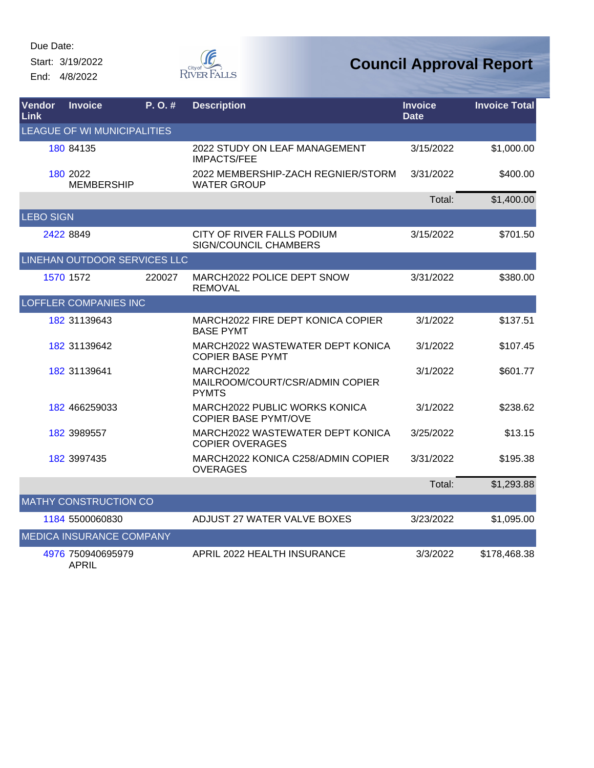Start: 3/19/2022 End: 4/8/2022



| Vendor<br>Link   | <b>Invoice</b>                    | P.O.#  | <b>Description</b>                                           | <b>Invoice</b><br><b>Date</b> | <b>Invoice Total</b> |
|------------------|-----------------------------------|--------|--------------------------------------------------------------|-------------------------------|----------------------|
|                  | LEAGUE OF WI MUNICIPALITIES       |        |                                                              |                               |                      |
|                  | 180 84135                         |        | 2022 STUDY ON LEAF MANAGEMENT<br><b>IMPACTS/FEE</b>          | 3/15/2022                     | \$1,000.00           |
|                  | 180 2022<br><b>MEMBERSHIP</b>     |        | 2022 MEMBERSHIP-ZACH REGNIER/STORM<br><b>WATER GROUP</b>     | 3/31/2022                     | \$400.00             |
|                  |                                   |        |                                                              | Total:                        | \$1,400.00           |
| <b>LEBO SIGN</b> |                                   |        |                                                              |                               |                      |
|                  | 2422 8849                         |        | CITY OF RIVER FALLS PODIUM<br>SIGN/COUNCIL CHAMBERS          | 3/15/2022                     | \$701.50             |
|                  | LINEHAN OUTDOOR SERVICES LLC      |        |                                                              |                               |                      |
|                  | 1570 1572                         | 220027 | MARCH2022 POLICE DEPT SNOW<br><b>REMOVAL</b>                 | 3/31/2022                     | \$380.00             |
|                  | <b>LOFFLER COMPANIES INC</b>      |        |                                                              |                               |                      |
|                  | 182 31139643                      |        | MARCH2022 FIRE DEPT KONICA COPIER<br><b>BASE PYMT</b>        | 3/1/2022                      | \$137.51             |
|                  | 182 31139642                      |        | MARCH2022 WASTEWATER DEPT KONICA<br><b>COPIER BASE PYMT</b>  | 3/1/2022                      | \$107.45             |
|                  | 182 31139641                      |        | MARCH2022<br>MAILROOM/COURT/CSR/ADMIN COPIER<br><b>PYMTS</b> | 3/1/2022                      | \$601.77             |
|                  | 182 466259033                     |        | MARCH2022 PUBLIC WORKS KONICA<br><b>COPIER BASE PYMT/OVE</b> | 3/1/2022                      | \$238.62             |
|                  | 182 3989557                       |        | MARCH2022 WASTEWATER DEPT KONICA<br><b>COPIER OVERAGES</b>   | 3/25/2022                     | \$13.15              |
|                  | 182 3997435                       |        | MARCH2022 KONICA C258/ADMIN COPIER<br><b>OVERAGES</b>        | 3/31/2022                     | \$195.38             |
|                  |                                   |        |                                                              | Total:                        | \$1,293.88           |
|                  | <b>MATHY CONSTRUCTION CO</b>      |        |                                                              |                               |                      |
|                  | 1184 5500060830                   |        | ADJUST 27 WATER VALVE BOXES                                  | 3/23/2022                     | \$1,095.00           |
|                  | MEDICA INSURANCE COMPANY          |        |                                                              |                               |                      |
|                  | 4976 750940695979<br><b>APRIL</b> |        | APRIL 2022 HEALTH INSURANCE                                  | 3/3/2022                      | \$178,468.38         |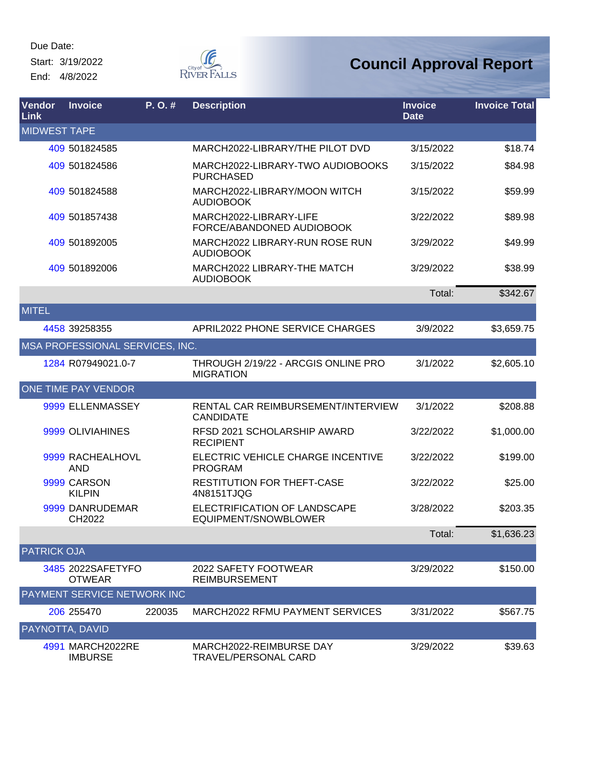Start: 3/19/2022 End: 4/8/2022



| Vendor<br><b>Link</b> | <b>Invoice</b>                     | P.O.#  | <b>Description</b>                                      | <b>Invoice</b><br><b>Date</b> | <b>Invoice Total</b> |
|-----------------------|------------------------------------|--------|---------------------------------------------------------|-------------------------------|----------------------|
| <b>MIDWEST TAPE</b>   |                                    |        |                                                         |                               |                      |
|                       | 409 501824585                      |        | MARCH2022-LIBRARY/THE PILOT DVD                         | 3/15/2022                     | \$18.74              |
|                       | 409 501824586                      |        | MARCH2022-LIBRARY-TWO AUDIOBOOKS<br><b>PURCHASED</b>    | 3/15/2022                     | \$84.98              |
|                       | 409 501824588                      |        | MARCH2022-LIBRARY/MOON WITCH<br><b>AUDIOBOOK</b>        | 3/15/2022                     | \$59.99              |
|                       | 409 501857438                      |        | MARCH2022-LIBRARY-LIFE<br>FORCE/ABANDONED AUDIOBOOK     | 3/22/2022                     | \$89.98              |
|                       | 409 501892005                      |        | MARCH2022 LIBRARY-RUN ROSE RUN<br><b>AUDIOBOOK</b>      | 3/29/2022                     | \$49.99              |
|                       | 409 501892006                      |        | MARCH2022 LIBRARY-THE MATCH<br><b>AUDIOBOOK</b>         | 3/29/2022                     | \$38.99              |
|                       |                                    |        |                                                         | Total:                        | \$342.67             |
| <b>MITEL</b>          |                                    |        |                                                         |                               |                      |
|                       | 4458 39258355                      |        | <b>APRIL2022 PHONE SERVICE CHARGES</b>                  | 3/9/2022                      | \$3,659.75           |
|                       | MSA PROFESSIONAL SERVICES, INC.    |        |                                                         |                               |                      |
|                       | 1284 R07949021.0-7                 |        | THROUGH 2/19/22 - ARCGIS ONLINE PRO<br><b>MIGRATION</b> | 3/1/2022                      | \$2,605.10           |
|                       | <b>ONE TIME PAY VENDOR</b>         |        |                                                         |                               |                      |
|                       | 9999 ELLENMASSEY                   |        | RENTAL CAR REIMBURSEMENT/INTERVIEW<br><b>CANDIDATE</b>  | 3/1/2022                      | \$208.88             |
|                       | 9999 OLIVIAHINES                   |        | RFSD 2021 SCHOLARSHIP AWARD<br><b>RECIPIENT</b>         | 3/22/2022                     | \$1,000.00           |
|                       | 9999 RACHEALHOVL<br>AND            |        | ELECTRIC VEHICLE CHARGE INCENTIVE<br><b>PROGRAM</b>     | 3/22/2022                     | \$199.00             |
|                       | 9999 CARSON<br><b>KILPIN</b>       |        | RESTITUTION FOR THEFT-CASE<br>4N8151TJQG                | 3/22/2022                     | \$25.00              |
|                       | 9999 DANRUDEMAR<br>CH2022          |        | ELECTRIFICATION OF LANDSCAPE<br>EQUIPMENT/SNOWBLOWER    | 3/28/2022                     | \$203.35             |
|                       |                                    |        |                                                         | I otal:                       | \$1,636.23           |
| <b>PATRICK OJA</b>    |                                    |        |                                                         |                               |                      |
|                       | 3485 2022SAFETYFO<br><b>OTWEAR</b> |        | 2022 SAFETY FOOTWEAR<br><b>REIMBURSEMENT</b>            | 3/29/2022                     | \$150.00             |
|                       | PAYMENT SERVICE NETWORK INC        |        |                                                         |                               |                      |
|                       | 206 255470                         | 220035 | MARCH2022 RFMU PAYMENT SERVICES                         | 3/31/2022                     | \$567.75             |
| PAYNOTTA, DAVID       |                                    |        |                                                         |                               |                      |
|                       | 4991 MARCH2022RE<br><b>IMBURSE</b> |        | MARCH2022-REIMBURSE DAY<br><b>TRAVEL/PERSONAL CARD</b>  | 3/29/2022                     | \$39.63              |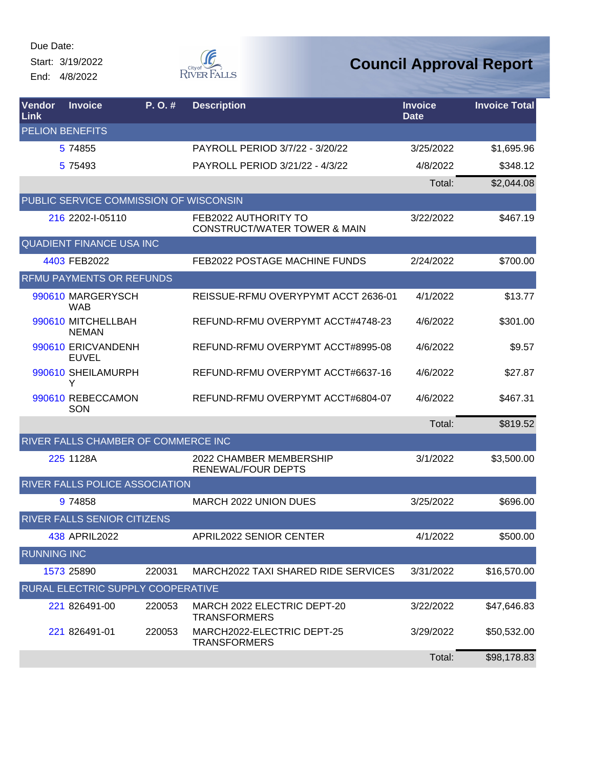Start: 3/19/2022 End: 4/8/2022



| Vendor<br>Link     | <b>Invoice</b>                         | P.O.#  | <b>Description</b>                                              | <b>Invoice</b><br><b>Date</b> | <b>Invoice Total</b> |
|--------------------|----------------------------------------|--------|-----------------------------------------------------------------|-------------------------------|----------------------|
|                    | <b>PELION BENEFITS</b>                 |        |                                                                 |                               |                      |
|                    | 5 74855                                |        | PAYROLL PERIOD 3/7/22 - 3/20/22                                 | 3/25/2022                     | \$1,695.96           |
|                    | 5 7 5 4 9 3                            |        | PAYROLL PERIOD 3/21/22 - 4/3/22                                 | 4/8/2022                      | \$348.12             |
|                    |                                        |        |                                                                 | Total:                        | \$2,044.08           |
|                    | PUBLIC SERVICE COMMISSION OF WISCONSIN |        |                                                                 |                               |                      |
|                    | 216 2202-1-05110                       |        | FEB2022 AUTHORITY TO<br><b>CONSTRUCT/WATER TOWER &amp; MAIN</b> | 3/22/2022                     | \$467.19             |
|                    | <b>QUADIENT FINANCE USA INC.</b>       |        |                                                                 |                               |                      |
|                    | 4403 FEB2022                           |        | FEB2022 POSTAGE MACHINE FUNDS                                   | 2/24/2022                     | \$700.00             |
|                    | <b>RFMU PAYMENTS OR REFUNDS</b>        |        |                                                                 |                               |                      |
|                    | 990610 MARGERYSCH<br><b>WAB</b>        |        | REISSUE-RFMU OVERYPYMT ACCT 2636-01                             | 4/1/2022                      | \$13.77              |
|                    | 990610 MITCHELLBAH<br><b>NEMAN</b>     |        | REFUND-RFMU OVERPYMT ACCT#4748-23                               | 4/6/2022                      | \$301.00             |
|                    | 990610 ERICVANDENH<br><b>EUVEL</b>     |        | REFUND-RFMU OVERPYMT ACCT#8995-08                               | 4/6/2022                      | \$9.57               |
|                    | 990610 SHEILAMURPH<br>Y                |        | REFUND-RFMU OVERPYMT ACCT#6637-16                               | 4/6/2022                      | \$27.87              |
|                    | 990610 REBECCAMON<br>SON               |        | REFUND-RFMU OVERPYMT ACCT#6804-07                               | 4/6/2022                      | \$467.31             |
|                    |                                        |        |                                                                 | Total:                        | \$819.52             |
|                    | RIVER FALLS CHAMBER OF COMMERCE INC    |        |                                                                 |                               |                      |
|                    | 225 1128A                              |        | 2022 CHAMBER MEMBERSHIP<br><b>RENEWAL/FOUR DEPTS</b>            | 3/1/2022                      | \$3,500.00           |
|                    | RIVER FALLS POLICE ASSOCIATION         |        |                                                                 |                               |                      |
|                    | 9 74858                                |        | <b>MARCH 2022 UNION DUES</b>                                    | 3/25/2022                     | \$696.00             |
|                    | <b>RIVER FALLS SENIOR CITIZENS</b>     |        |                                                                 |                               |                      |
|                    | 438 APRIL2022                          |        | <b>APRIL2022 SENIOR CENTER</b>                                  | 4/1/2022                      | \$500.00             |
| <b>RUNNING INC</b> |                                        |        |                                                                 |                               |                      |
|                    | 1573 25890                             | 220031 | MARCH2022 TAXI SHARED RIDE SERVICES                             | 3/31/2022                     | \$16,570.00          |
|                    | RURAL ELECTRIC SUPPLY COOPERATIVE      |        |                                                                 |                               |                      |
|                    | 221 826491-00                          | 220053 | MARCH 2022 ELECTRIC DEPT-20<br><b>TRANSFORMERS</b>              | 3/22/2022                     | \$47,646.83          |
|                    | 221 826491-01                          | 220053 | MARCH2022-ELECTRIC DEPT-25<br><b>TRANSFORMERS</b>               | 3/29/2022                     | \$50,532.00          |
|                    |                                        |        |                                                                 | Total:                        | \$98,178.83          |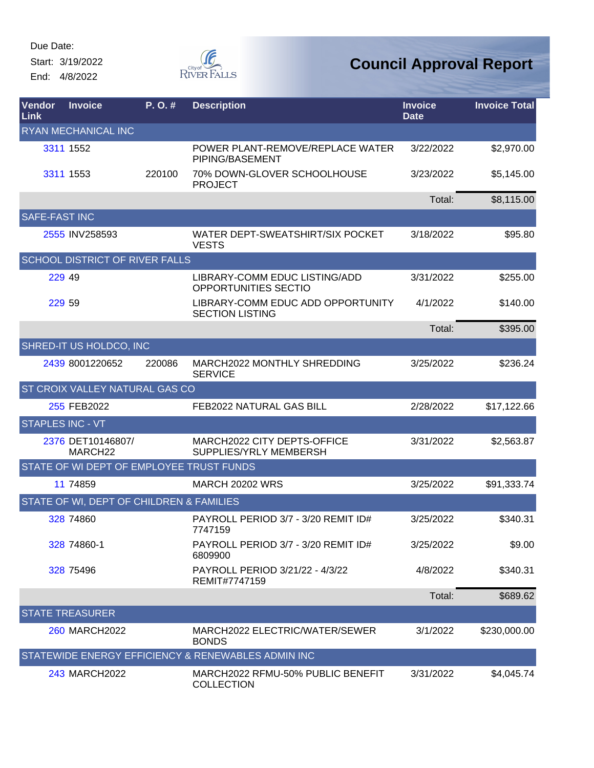Start: 3/19/2022 End: 4/8/2022



| <b>Vendor</b><br>Link | <b>Invoice</b>                           | P.O.#  | <b>Description</b>                                          | <b>Invoice</b><br><b>Date</b> | <b>Invoice Total</b> |
|-----------------------|------------------------------------------|--------|-------------------------------------------------------------|-------------------------------|----------------------|
|                       | RYAN MECHANICAL INC                      |        |                                                             |                               |                      |
|                       | 3311 1552                                |        | POWER PLANT-REMOVE/REPLACE WATER<br>PIPING/BASEMENT         | 3/22/2022                     | \$2,970.00           |
|                       | 3311 1553                                | 220100 | 70% DOWN-GLOVER SCHOOLHOUSE<br><b>PROJECT</b>               | 3/23/2022                     | \$5,145.00           |
|                       |                                          |        |                                                             | Total:                        | \$8,115.00           |
| <b>SAFE-FAST INC</b>  |                                          |        |                                                             |                               |                      |
|                       | 2555 INV258593                           |        | WATER DEPT-SWEATSHIRT/SIX POCKET<br><b>VESTS</b>            | 3/18/2022                     | \$95.80              |
|                       | <b>SCHOOL DISTRICT OF RIVER FALLS</b>    |        |                                                             |                               |                      |
| 229 49                |                                          |        | LIBRARY-COMM EDUC LISTING/ADD<br>OPPORTUNITIES SECTIO       | 3/31/2022                     | \$255.00             |
| 229 59                |                                          |        | LIBRARY-COMM EDUC ADD OPPORTUNITY<br><b>SECTION LISTING</b> | 4/1/2022                      | \$140.00             |
|                       |                                          |        |                                                             | Total:                        | \$395.00             |
|                       | SHRED-IT US HOLDCO, INC                  |        |                                                             |                               |                      |
|                       | 2439 8001220652                          | 220086 | MARCH2022 MONTHLY SHREDDING<br><b>SERVICE</b>               | 3/25/2022                     | \$236.24             |
|                       | <b>ST CROIX VALLEY NATURAL GAS CO</b>    |        |                                                             |                               |                      |
|                       | 255 FEB2022                              |        | FEB2022 NATURAL GAS BILL                                    | 2/28/2022                     | \$17,122.66          |
| STAPLES INC - VT      |                                          |        |                                                             |                               |                      |
|                       | 2376 DET10146807/<br>MARCH <sub>22</sub> |        | MARCH2022 CITY DEPTS-OFFICE<br>SUPPLIES/YRLY MEMBERSH       | 3/31/2022                     | \$2,563.87           |
|                       | STATE OF WI DEPT OF EMPLOYEE TRUST FUNDS |        |                                                             |                               |                      |
|                       | 11 74859                                 |        | <b>MARCH 20202 WRS</b>                                      | 3/25/2022                     | \$91,333.74          |
|                       | STATE OF WI, DEPT OF CHILDREN & FAMILIES |        |                                                             |                               |                      |
|                       | 328 74860                                |        | PAYROLL PERIOD 3/7 - 3/20 REMIT ID#<br>7747159              | 3/25/2022                     | \$340.31             |
|                       | 328 74860-1                              |        | PAYROLL PERIOD 3/7 - 3/20 REMIT ID#<br>6809900              | 3/25/2022                     | \$9.00               |
|                       | 328 75496                                |        | PAYROLL PERIOD 3/21/22 - 4/3/22<br>REMIT#7747159            | 4/8/2022                      | \$340.31             |
|                       |                                          |        |                                                             | Total:                        | \$689.62             |
|                       | <b>STATE TREASURER</b>                   |        |                                                             |                               |                      |
|                       | 260 MARCH2022                            |        | MARCH2022 ELECTRIC/WATER/SEWER<br><b>BONDS</b>              | 3/1/2022                      | \$230,000.00         |
|                       |                                          |        | STATEWIDE ENERGY EFFICIENCY & RENEWABLES ADMIN INC          |                               |                      |
|                       | 243 MARCH2022                            |        | MARCH2022 RFMU-50% PUBLIC BENEFIT<br><b>COLLECTION</b>      | 3/31/2022                     | \$4,045.74           |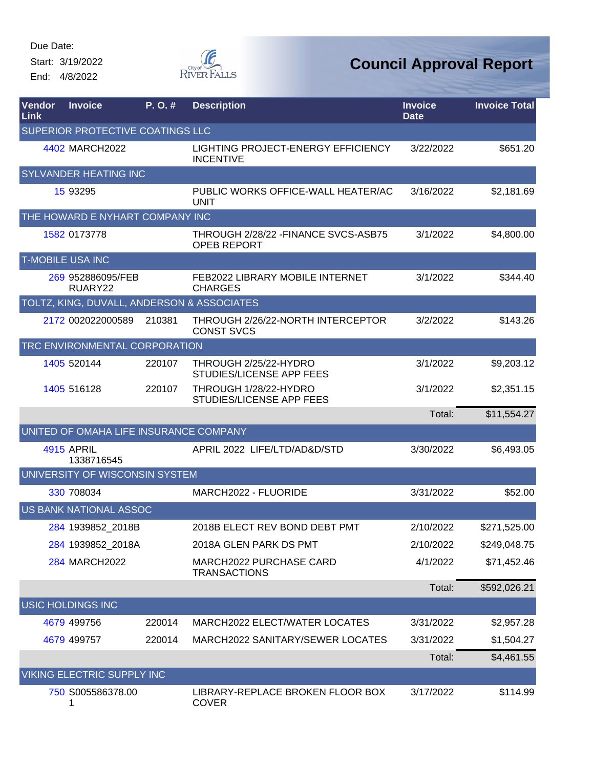Start: 3/19/2022 End: 4/8/2022



| Vendor<br>Link | <b>Invoice</b>                             | P.O.#  | <b>Description</b>                                         | <b>Invoice</b><br><b>Date</b> | <b>Invoice Total</b> |
|----------------|--------------------------------------------|--------|------------------------------------------------------------|-------------------------------|----------------------|
|                | SUPERIOR PROTECTIVE COATINGS LLC           |        |                                                            |                               |                      |
|                | 4402 MARCH2022                             |        | LIGHTING PROJECT-ENERGY EFFICIENCY<br><b>INCENTIVE</b>     | 3/22/2022                     | \$651.20             |
|                | SYLVANDER HEATING INC                      |        |                                                            |                               |                      |
|                | 15 93295                                   |        | PUBLIC WORKS OFFICE-WALL HEATER/AC<br><b>UNIT</b>          | 3/16/2022                     | \$2,181.69           |
|                | THE HOWARD E NYHART COMPANY INC            |        |                                                            |                               |                      |
|                | 1582 0173778                               |        | THROUGH 2/28/22 - FINANCE SVCS-ASB75<br><b>OPEB REPORT</b> | 3/1/2022                      | \$4,800.00           |
|                | <b>T-MOBILE USA INC</b>                    |        |                                                            |                               |                      |
|                | 269 952886095/FEB<br>RUARY22               |        | FEB2022 LIBRARY MOBILE INTERNET<br><b>CHARGES</b>          | 3/1/2022                      | \$344.40             |
|                | TOLTZ, KING, DUVALL, ANDERSON & ASSOCIATES |        |                                                            |                               |                      |
|                | 2172 002022000589                          | 210381 | THROUGH 2/26/22-NORTH INTERCEPTOR<br><b>CONST SVCS</b>     | 3/2/2022                      | \$143.26             |
|                | TRC ENVIRONMENTAL CORPORATION              |        |                                                            |                               |                      |
|                | 1405 520144                                | 220107 | THROUGH 2/25/22-HYDRO<br>STUDIES/LICENSE APP FEES          | 3/1/2022                      | \$9,203.12           |
|                | 1405 516128                                | 220107 | THROUGH 1/28/22-HYDRO<br>STUDIES/LICENSE APP FEES          | 3/1/2022                      | \$2,351.15           |
|                |                                            |        |                                                            | Total:                        | \$11,554.27          |
|                | UNITED OF OMAHA LIFE INSURANCE COMPANY     |        |                                                            |                               |                      |
|                | 4915 APRIL<br>1338716545                   |        | APRIL 2022 LIFE/LTD/AD&D/STD                               | 3/30/2022                     | \$6,493.05           |
|                | UNIVERSITY OF WISCONSIN SYSTEM             |        |                                                            |                               |                      |
|                | 330 708034                                 |        | MARCH2022 - FLUORIDE                                       | 3/31/2022                     | \$52.00              |
|                | US BANK NATIONAL ASSOC                     |        |                                                            |                               |                      |
|                | 284 1939852 2018B                          |        | 2018B ELECT REV BOND DEBT PMT                              | 2/10/2022                     | \$271,525.00         |
|                | 284 1939852_2018A                          |        | 2018A GLEN PARK DS PMT                                     | 2/10/2022                     | \$249,048.75         |
|                | 284 MARCH2022                              |        | MARCH2022 PURCHASE CARD<br><b>TRANSACTIONS</b>             | 4/1/2022                      | \$71,452.46          |
|                |                                            |        |                                                            | Total:                        | \$592,026.21         |
|                | <b>USIC HOLDINGS INC</b>                   |        |                                                            |                               |                      |
|                | 4679 499756                                | 220014 | MARCH2022 ELECT/WATER LOCATES                              | 3/31/2022                     | \$2,957.28           |
|                | 4679 499757                                | 220014 | MARCH2022 SANITARY/SEWER LOCATES                           | 3/31/2022                     | \$1,504.27           |
|                |                                            |        |                                                            | Total:                        | \$4,461.55           |
|                | VIKING ELECTRIC SUPPLY INC                 |        |                                                            |                               |                      |
|                | 750 S005586378.00<br>1                     |        | LIBRARY-REPLACE BROKEN FLOOR BOX<br><b>COVER</b>           | 3/17/2022                     | \$114.99             |